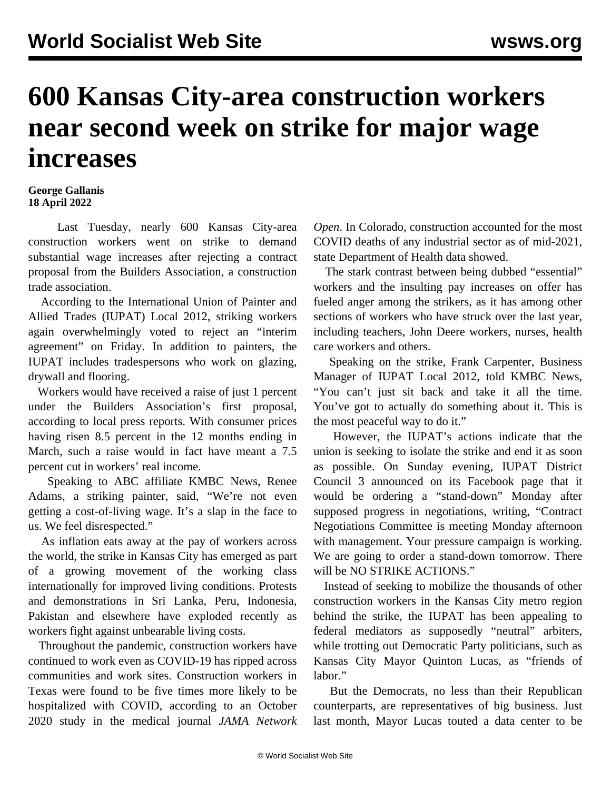## **600 Kansas City-area construction workers near second week on strike for major wage increases**

## **George Gallanis 18 April 2022**

 Last Tuesday, nearly 600 Kansas City-area construction workers went on strike to demand substantial wage increases after rejecting a contract proposal from the Builders Association, a construction trade association.

 According to the International Union of Painter and Allied Trades (IUPAT) Local 2012, striking workers again overwhelmingly voted to reject an "interim agreement" on Friday. In addition to painters, the IUPAT includes tradespersons who work on glazing, drywall and flooring.

 Workers would have received a raise of just 1 percent under the Builders Association's first proposal, according to local press reports. With [consumer prices](/en/articles/2022/04/13/pers-a13.html) [having risen 8.5 percent](/en/articles/2022/04/13/pers-a13.html) in the 12 months ending in March, such a raise would in fact have meant a 7.5 percent cut in workers' real income.

 Speaking to ABC affiliate KMBC News, Renee Adams, a striking painter, said, "We're not even getting a cost-of-living wage. It's a slap in the face to us. We feel disrespected."

 As inflation eats away at the pay of workers across the world, the strike in Kansas City has emerged as part of a growing movement of the working class internationally for improved living conditions. [Protests](/en/articles/2022/04/16/pers-a16.html) [and demonstrations](/en/articles/2022/04/16/pers-a16.html) in Sri Lanka, Peru, Indonesia, Pakistan and elsewhere have exploded recently as workers fight against unbearable living costs.

 Throughout the pandemic, construction workers have continued to work even as COVID-19 has ripped across communities and work sites. Construction workers in Texas were found to be five times more likely to be hospitalized with COVID, according to an October 2020 study in the medical journal *JAMA Network* *Open*. In Colorado, construction accounted for the most COVID deaths of any industrial sector as of mid-2021, state Department of Health data showed.

 The stark contrast between being dubbed "essential" workers and the insulting pay increases on offer has fueled anger among the strikers, as it has among other sections of workers who have struck over the last year, including teachers, John Deere workers, nurses, health care workers and others.

 Speaking on the strike, Frank Carpenter, Business Manager of IUPAT Local 2012, told KMBC News, "You can't just sit back and take it all the time. You've got to actually do something about it. This is the most peaceful way to do it."

 However, the IUPAT's actions indicate that the union is seeking to isolate the strike and end it as soon as possible. On Sunday evening, IUPAT District Council 3 announced on its Facebook page that it would be ordering a "stand-down" Monday after supposed progress in negotiations, writing, "Contract Negotiations Committee is meeting Monday afternoon with management. Your pressure campaign is working. We are going to order a stand-down tomorrow. There will be NO STRIKE ACTIONS."

 Instead of seeking to mobilize the thousands of other construction workers in the Kansas City metro region behind the strike, the IUPAT has been appealing to federal mediators as supposedly "neutral" arbiters, while trotting out Democratic Party politicians, such as Kansas City Mayor Quinton Lucas, as "friends of labor."

 But the Democrats, no less than their Republican counterparts, are representatives of big business. Just last month, Mayor Lucas touted a data center to be